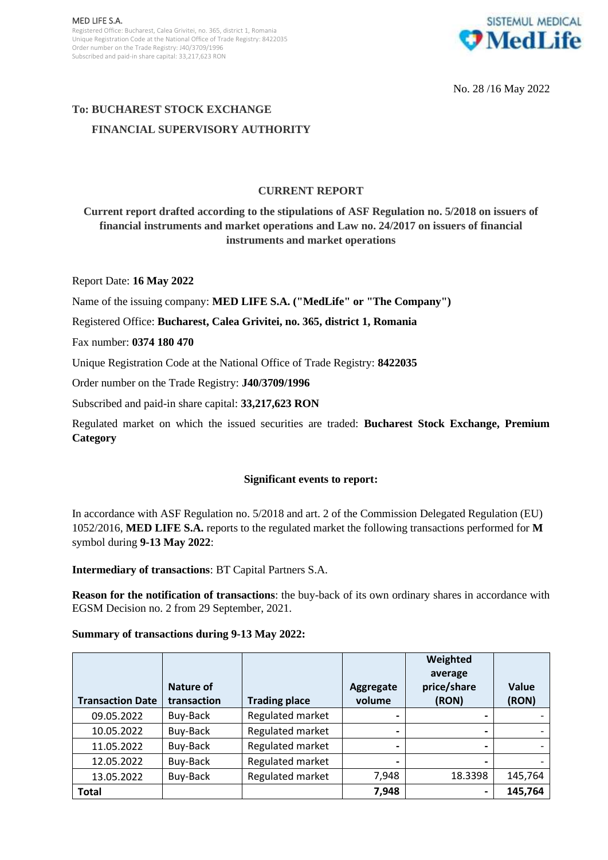

No. 28 /16 May 2022

# **To: BUCHAREST STOCK EXCHANGE FINANCIAL SUPERVISORY AUTHORITY**

## **CURRENT REPORT**

**Current report drafted according to the stipulations of ASF Regulation no. 5/2018 on issuers of financial instruments and market operations and Law no. 24/2017 on issuers of financial instruments and market operations**

Report Date: **16 May 2022**

Name of the issuing company: **MED LIFE S.A. ("MedLife" or "The Company")**

Registered Office: **Bucharest, Calea Grivitei, no. 365, district 1, Romania**

Fax number: **0374 180 470**

Unique Registration Code at the National Office of Trade Registry: **8422035**

Order number on the Trade Registry: **J40/3709/1996**

Subscribed and paid-in share capital: **33,217,623 RON**

Regulated market on which the issued securities are traded: **Bucharest Stock Exchange, Premium Category**

## **Significant events to report:**

In accordance with ASF Regulation no. 5/2018 and art. 2 of the Commission Delegated Regulation (EU) 1052/2016, **MED LIFE S.A.** reports to the regulated market the following transactions performed for **M** symbol during **9-13 May 2022**:

**Intermediary of transactions**: BT Capital Partners S.A.

**Reason for the notification of transactions**: the buy-back of its own ordinary shares in accordance with EGSM Decision no. 2 from 29 September, 2021.

### **Summary of transactions during 9-13 May 2022:**

| <b>Transaction Date</b> | Nature of<br>transaction | <b>Trading place</b> | Aggregate<br>volume | Weighted<br>average<br>price/share<br>(RON) | Value<br>(RON) |
|-------------------------|--------------------------|----------------------|---------------------|---------------------------------------------|----------------|
|                         |                          |                      |                     |                                             |                |
| 09.05.2022              | Buy-Back                 | Regulated market     |                     |                                             |                |
| 10.05.2022              | Buy-Back                 | Regulated market     |                     | $\blacksquare$                              |                |
| 11.05.2022              | Buy-Back                 | Regulated market     |                     |                                             |                |
| 12.05.2022              | Buy-Back                 | Regulated market     |                     |                                             |                |
| 13.05.2022              | Buy-Back                 | Regulated market     | 7,948               | 18.3398                                     | 145,764        |
| <b>Total</b>            |                          |                      | 7,948               | $\overline{\phantom{a}}$                    | 145,764        |